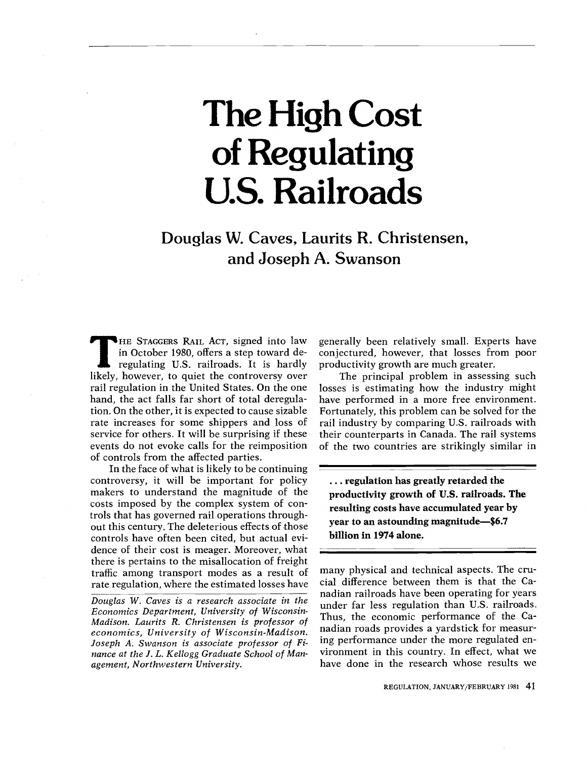# The High Cost of Regulating U.S. Railroads

Douglas W. Caves, Laurits R. Christensen, and Joseph A. Swanson

events do not evoke calls for the reimposition of 81 S<br>S<br>G<br>ue in October 1980, offers a step toward de-THE STAGGERS RAIL ACT, signed into law regulating U.S. railroads. It is hardly likely, however, to quiet the controversy over rail regulation in the United States. On the one hand, the act falls far short of total deregulation. On the other, it is expected to cause sizable rate increases for some shippers and loss of service for others. It will be surprising if these of controls from the affected parties.

trols that has governed rail operations through-°.. controls have often been cited, but actual evi-In the face of what is likely to be continuing controversy, it will be important for policy makers to understand the magnitude of the costs imposed by the complex system of conout this century. The deleterious effects of those dence of their cost is meager. Moreover, what there is pertains to the misallocation of freight traffic among transport modes as a result of rate regulation, where the estimated losses have

Douglas W. Caves is a research associate in the Economics Department, University of Wisconsin-Madison. Laurits R. Christensen is professor of economics, University of Wisconsin-Madison. Joseph A. Swanson is associate professor of Finance at the J. L. Kellogg Graduate School of Management, Northwestern University.

generally been relatively small. Experts have conjectured, however, that losses from poor productivity growth are much greater.

rail industry by comparing U.S. railroads with The principal problem in assessing such losses is estimating how the industry might have performed in a more free environment. Fortunately, this problem can be solved for the their counterparts in Canada. The rail systems of the two countries are strikingly similar in

... regulation has greatly retarded the productivity growth of U.S. railroads. The resulting costs have accumulated year by year to an astounding magnitude-\$6.7 billion in 1974 alone.

many physical and technical aspects. The crucial difference between them is that the Canadian railroads have been operating for years under far less regulation than U.S. railroads. Thus, the economic performance of the Canadian roads provides a yardstick for measuring performance under the more regulated environment in this country. In effect, what we have done in the research whose results we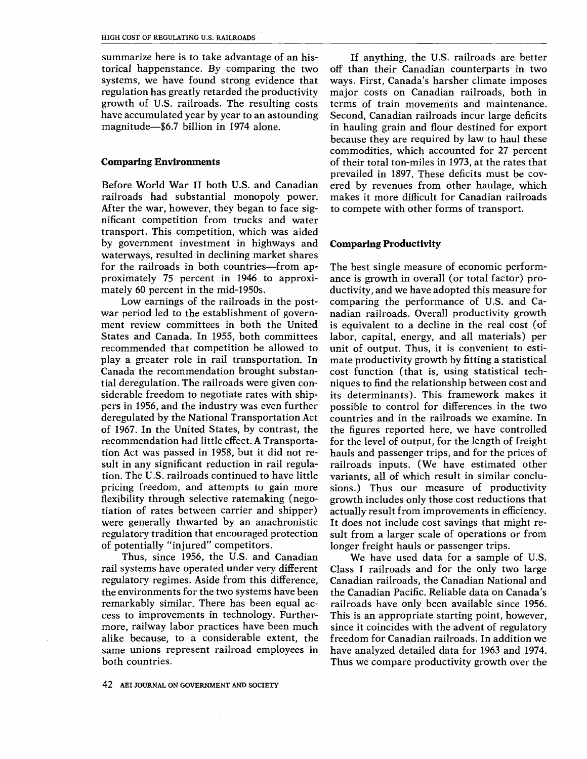summarize here is to take advantage of an historical happenstance. By comparing the two systems, we have found strong evidence that regulation has greatly retarded the productivity growth of U.S. railroads. The resulting costs have accumulated year by year to an astounding<br>magnitude--\$6.7 billion in 1974 alone.

#### Comparing Environments

transport. This competition, which was aided Before World War II both U.S. and Canadian railroads had substantial monopoly power. After the war, however, they began to face significant competition from trucks and water by government investment in highways and waterways, resulted in declining market shares for the railroads in both countries—from approximately 75 percent in 1946 to approximately 60 percent in the mid-1950s.

deregu<br>of 1967<br>recomm<br>tion As<br>sult in<br>tion. T<br>pricing<br>flexibil at y T<br>os ffice, ti play a greater fole in fait transportation. In<br>Canada the recommendation brought substan-<br>tial deregulation. The railroads were given con-<br>siderable freedom to negotiate rates with shipflexibility through selective ratemaking (negowere generally thwarted by an anachronistic It d play a greater role in rail transportation. In mat States and Canada. In 1955, both committees labo recommendation had little effect. A Transporta-Low earnings of the railroads in the postwar period led to the establishment of government review committees in both the United recommended that competition be allowed to tial deregulation. The railroads were given considerable freedom to negotiate rates with shippers in 1956, and the industry was even further deregulated by the National Transportation Act of 1967. In the United States, by contrast, the tion Act was passed in 1958, but it did not result in any significant reduction in rail regulation. The U.S. railroads continued to have little pricing freedom, and attempts to gain more tiation of rates between carrier and shipper) regulatory tradition that encouraged protection of potentially "injured" competitors.

rail systems have operated under very different Cla Thus, since 1956, the U.S. and Canadian regulatory regimes. Aside from this difference, the environments for the two systems have been remarkably similar. There has been equal access to improvements in technology. Furthermore, railway labor practices have been much alike because, to a considerable extent, the same unions represent railroad employees in both countries.

ered by revenues from other haulage, which If anything, the U.S. railroads are better off than their Canadian counterparts in two ways. First, Canada's harsher climate imposes major costs on Canadian railroads, both in terms of train movements and maintenance. Second, Canadian railroads incur large deficits in hauling grain and flour destined for export because they are required by law to haul these commodities, which accounted for 27 percent of their total ton-miles in 1973, at the rates that prevailed in 1897. These deficits must be covmakes it more difficult for Canadian railroads to compete with other forms of transport.

### Comparing Productivity

actually result from improvements in efficiency. It does not include cost savings that might resions.) Thus our measure of productivity<br>growth includes only those cost reductions that<br>actually result from improvements in efficiency.<br>It does not include cost savings that might re-<br>sult from a larger scale of operatio for the level of output, for the length of freight hauls and passenger trips, and for the prices of countries and in the raiiroads we examine. In<br>the figures reported here, we have controlled unit of output. Thus, it is convenient to estimate productivity growth by fitting a statistical growth includes only those cost reductions that railroads inputs. (We have estimated other<br>variants, all of which result in similar conclu-.'. railroads inputs. (We have estimated other The best single measure of economic performance is growth in overall (or total factor) productivity, and we have adopted this measure for comparing the performance of U.S. and Canadian railroads. Overall productivity growth is equivalent to a decline in the real cost (of labor, capital, energy, and all materials) per cost function (that is, using statistical techniques to find the relationship between cost and its determinants). This framework makes it possible to control for differences in the two countries and in the railroads we examine. In sult from a larger scale of operations or from longer freight hauls or passenger trips.

Canadian railroads, the Canadian National and We have used data for a sample of U.S. Class I railroads and for the only two large the Canadian Pacific. Reliable data on Canada's railroads have only been available since 1956. This is an appropriate starting point, however, since it coincides with the advent of regulatory freedom for Canadian railroads. In addition we have analyzed detailed data for 1963 and 1974. Thus we compare productivity growth over the

42 AEI JOURNAL ON GOVERNMENT AND SOCIETY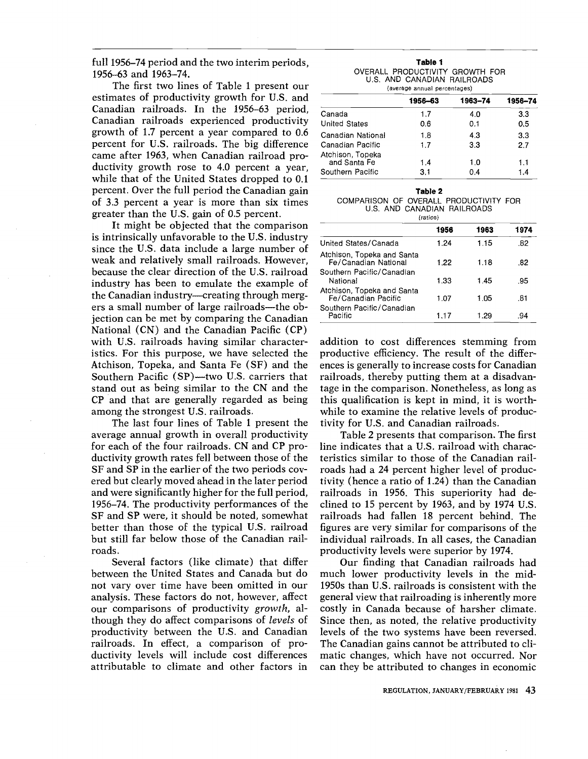full 1956–74 period and the two interim periods, 1956-63 and 1963-74.

The first two lines of Table 1 present our estimates of productivity growth for U.S. and Canadian railroads. In the 1956-63 period, Canadian railroads experienced productivity growth of 1.7 percent a year compared to 0.6 percent for U.S. railroads. The big difference came after 1963, when Canadian railroad productivity growth rose to 4.0 percent a year. while that of the United States dropped to 0.1 percent. Over the full period the Canadian gain of 3.3 percent a year is more than six times greater than the U.S. gain of 0.5 percent.

It might be objected that the comparison is intrinsically unfavorable to the U.S. industry since the U.S. data include a large number of weak and relatively small railroads. However, because the clear direction of the U.S. railroad industry has been to emulate the example of the Canadian industry—creating through mergers a small number of large railroads—the objection can be met by comparing the Canadian National (CN) and the Canadian Pacific (CP) with U.S. railroads having similar characteristics. For this purpose, we have selected the Atchison, Topeka, and Santa Fe (SF) and the Southern Pacific (SP)—two U.S. carriers that stand out as being similar to the CN and the CP and that are generally regarded as being among the strongest U.S. railroads.

The last four lines of Table 1 present the average annual growth in overall productivity for each of the four railroads. CN and CP productivity growth rates fell between those of the SF and SP in the earlier of the two periods covered but clearly moved ahead in the later period and were significantly higher for the full period, 1956–74. The productivity performances of the SF and SP were, it should be noted, somewhat better than those of the typical U.S. railroad but still far below those of the Canadian railroads.

Several factors (like climate) that differ between the United States and Canada but do not vary over time have been omitted in our analysis. These factors do not, however, affect our comparisons of productivity growth, although they do affect comparisons of *levels* of productivity between the U.S. and Canadian railroads. In effect, a comparison of productivity levels will include cost differences attributable to climate and other factors in

| Table 1                         |  |
|---------------------------------|--|
| OVERALL PRODUCTIVITY GROWTH FOR |  |
| U.S. AND CANADIAN RAILROADS     |  |
| (average annual percentages)    |  |

|                                  | 1956-63 | 1963-74 | 1956-74 |  |  |
|----------------------------------|---------|---------|---------|--|--|
| Canada                           | 1.7     | 4.0     | 3.3     |  |  |
| <b>United States</b>             | 0.6     | 0.1     | 0.5     |  |  |
| Canadian National                | 1.8     | 4.3     | 3.3     |  |  |
| Canadian Pacific                 | 1.7     | 3.3     | 2.7     |  |  |
| Atchison, Topeka<br>and Santa Fe | 1.4     | 1.0     | 1.1     |  |  |
| Southern Pacific                 | 3.1     | 0.4     | 1.4     |  |  |

| Table 2                                                               |  |
|-----------------------------------------------------------------------|--|
| COMPARISON OF OVERALL PRODUCTIVITY FOR<br>U.S. AND CANADIAN RAILROADS |  |
|                                                                       |  |

| (ratios)                                           |      |      |      |  |
|----------------------------------------------------|------|------|------|--|
|                                                    | 1956 | 1963 | 1974 |  |
| United States/Canada                               | 1.24 | 1.15 | .82  |  |
| Atchison, Topeka and Santa<br>Fe/Canadian National | 1.22 | 1.18 | .82  |  |
| Southern Pacific/Canadian<br>National              | 1.33 | 1.45 | .95  |  |
| Atchison, Topeka and Santa<br>Fe/Canadian Pacific  | 1.07 | 1.05 | .81  |  |
| Southern Pacific/Canadian<br>Pacific               | 1.17 | 1.29 | .94  |  |

addition to cost differences stemming from productive efficiency. The result of the differences is generally to increase costs for Canadian railroads, thereby putting them at a disadvantage in the comparison. Nonetheless, as long as this qualification is kept in mind, it is worthwhile to examine the relative levels of productivity for U.S. and Canadian railroads.

Table 2 presents that comparison. The first line indicates that a U.S. railroad with characteristics similar to those of the Canadian railroads had a 24 percent higher level of productivity (hence a ratio of 1.24) than the Canadian railroads in 1956. This superiority had declined to 15 percent by 1963, and by 1974 U.S. railroads had fallen 18 percent behind. The figures are very similar for comparisons of the individual railroads. In all cases, the Canadian productivity levels were superior by 1974.

Our finding that Canadian railroads had much lower productivity levels in the mid-1950s than U.S. railroads is consistent with the general view that railroading is inherently more costly in Canada because of harsher climate. Since then, as noted, the relative productivity levels of the two systems have been reversed. The Canadian gains cannot be attributed to climatic changes, which have not occurred. Nor can they be attributed to changes in economic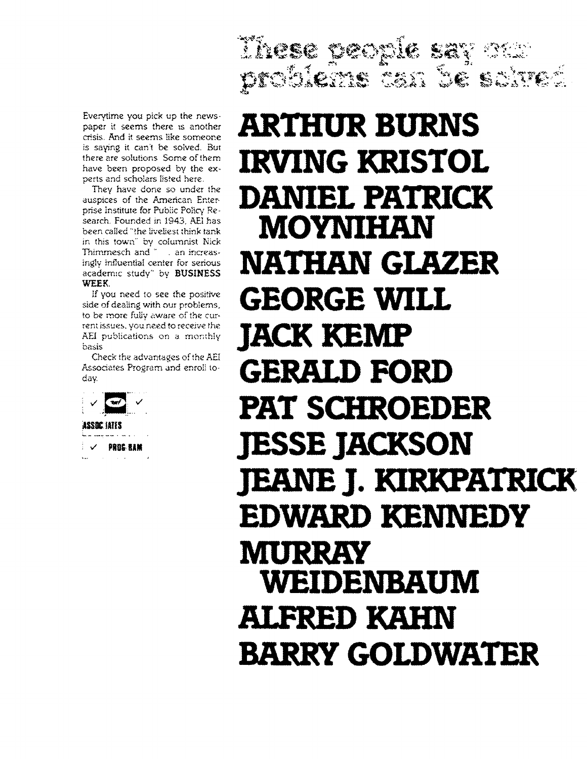Everytime you pick up the newspaper it seems there is another crisis. And it seems like someone is saying it can't be solved. But there are solutions Some of them have been proposed by the experts and scholars listed here.

search. Founded in 1943, AEI has They have done so under the auspices of the American. Enterprise Institute for Public Policy Rebeen called "the liveliest think tank in this town" by columnist Nick Thimmesch and " . an increasingly influential center for serious academic study" by BUSINESS WEEK.

If you need to see the positive side of dealing with our problems, to be more fully aware of the cur- rent issues, you need to receive the AEI publications on a monthly basis

Check the advantages of the AEI Associates Program and enroll today.



**V** PROGREAM  $\sim 10^{-1}$  km

# problems ban be saired ARTHUR BURNS IRVING KRISTOL DANIEL PATRICK MOYNIHAN NATHAN GLAZER GEORGE WILL JACK KEMP GERALD FORD PAT SCHROEDER JESSE JACKSON JEANS J. KIRKPATRICK EDWARD KENNEDY MURRAY WEIDENBAUM ALFRED KAHN BARRY GOLDWATER

Tirese people say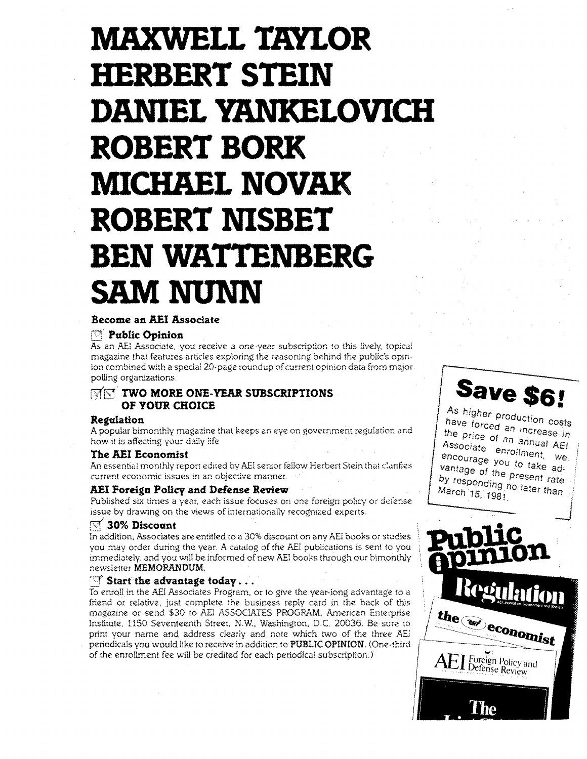# MAXWELL TAYLOR HERBERT STEIN DANIEL YANKELOVICH ROBERT BORK MICHAEL NOVAK ROBERT NISBET BEN WATTENBERG SAM NUNN

## Become an AEI Associate

# Public Opinion

As an AEI Associate. you receive a one-year subscription to this lively topical magazine that features articles exploring the reasoning behind the public's opinion combined with a special 20-page roundup of current opinion data from major polling organizations.

# **THE TWO MORE ONE-YEAR SUBSCRIPTIONS** OF YOUR CHOICE

## Regulation

A popular bimonthly magazine that keeps an eye on government regulation and how it is affecting your daily life

#### The AEI Economist

An essential monthly report edited by AEI senior fellow Herbert Stein that clarifies current economic issues in an objective manner.

## AEI Foreign Policy and Defense Review

Published six times a year, each issue focuses on one foreign policy or defense issue by drawing on the views of internationally recognized experts.

# **20% Discount**

In addition, Associates are entitled to a 30% discount on any AEl books or studies you may order during the year. A catalog of the AEI publications is sent to you immediately, and you will be informed of new AEI books through our bimonthly newsletter MEMORANDUM,

<code>Start the advantage today...</code><br>nroll in the AEI Associates Program, or to give print your name and address clearly and note which two of the three AEi  $\int$ ,,, of the enrollment fee will be credited for each periodical subscription.) To enroll in the AEI Associates Program. or to give the year-long advantage to a friend or relative, just complete the business reply card in the back of this magazine or send \$30 to AEI ASSOCIATES PROGRAM, American Enterprise Institute. 1150 Seventeenth Street, N.W,, Washington, D.C. 20036. Be sure to periodicals you would like to receive in addition to PUBLIC OPINION. (One-third



Save \$6! the price of an annual AEI Associate enrollment, we<br>encourage you to take ad-<br>vantage of the present rate<br>by responding no later than by responding no later than

the as economist

 $\Xi$  Foreign Policy and Defense Review